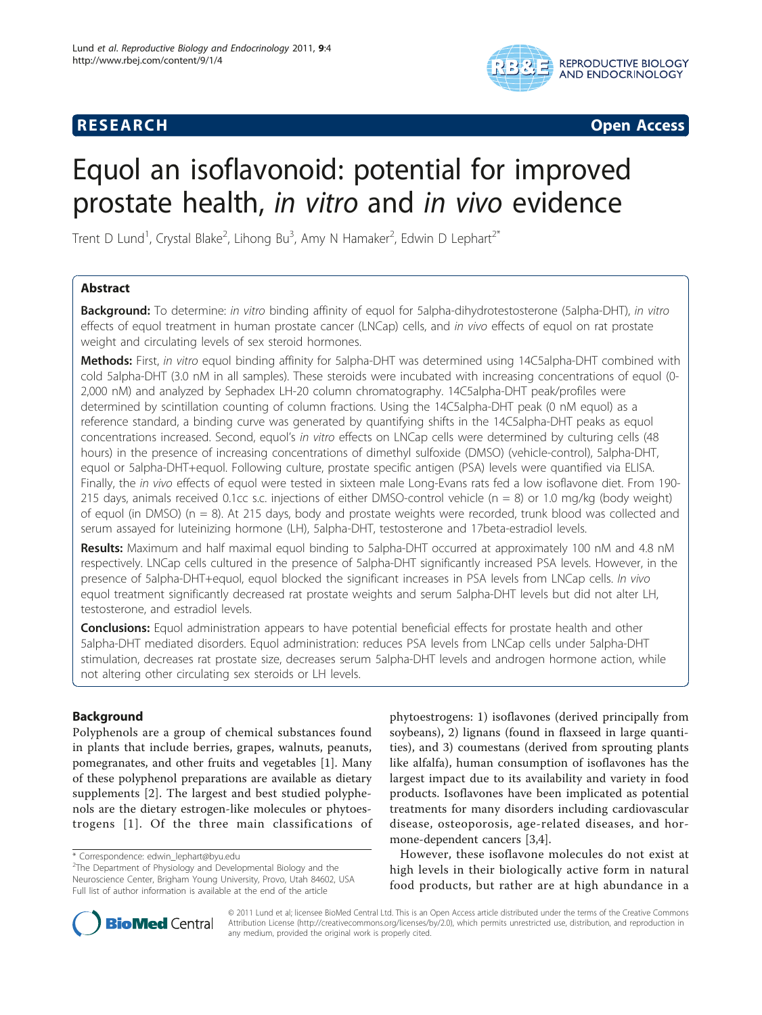# **RESEARCH CONSTRUCTION CONSTRUCTS**



# Equol an isoflavonoid: potential for improved prostate health, in vitro and in vivo evidence

Trent D Lund<sup>1</sup>, Crystal Blake<sup>2</sup>, Lihong Bu<sup>3</sup>, Amy N Hamaker<sup>2</sup>, Edwin D Lephart<sup>2\*</sup>

# Abstract

**Background:** To determine: in vitro binding affinity of equol for 5alpha-dihydrotestosterone (5alpha-DHT), in vitro effects of equol treatment in human prostate cancer (LNCap) cells, and in vivo effects of equol on rat prostate weight and circulating levels of sex steroid hormones.

Methods: First, in vitro equol binding affinity for 5alpha-DHT was determined using 14C5alpha-DHT combined with cold 5alpha-DHT (3.0 nM in all samples). These steroids were incubated with increasing concentrations of equol (0- 2,000 nM) and analyzed by Sephadex LH-20 column chromatography. 14C5alpha-DHT peak/profiles were determined by scintillation counting of column fractions. Using the 14C5alpha-DHT peak (0 nM equol) as a reference standard, a binding curve was generated by quantifying shifts in the 14C5alpha-DHT peaks as equol concentrations increased. Second, equol's in vitro effects on LNCap cells were determined by culturing cells (48 hours) in the presence of increasing concentrations of dimethyl sulfoxide (DMSO) (vehicle-control), 5alpha-DHT, equol or 5alpha-DHT+equol. Following culture, prostate specific antigen (PSA) levels were quantified via ELISA. Finally, the in vivo effects of equol were tested in sixteen male Long-Evans rats fed a low isoflavone diet. From 190- 215 days, animals received 0.1cc s.c. injections of either DMSO-control vehicle ( $n = 8$ ) or 1.0 mg/kg (body weight) of equol (in DMSO) (n = 8). At 215 days, body and prostate weights were recorded, trunk blood was collected and serum assayed for luteinizing hormone (LH), 5alpha-DHT, testosterone and 17beta-estradiol levels.

Results: Maximum and half maximal equol binding to 5alpha-DHT occurred at approximately 100 nM and 4.8 nM respectively. LNCap cells cultured in the presence of 5alpha-DHT significantly increased PSA levels. However, in the presence of 5alpha-DHT+equol, equol blocked the significant increases in PSA levels from LNCap cells. In vivo equol treatment significantly decreased rat prostate weights and serum 5alpha-DHT levels but did not alter LH, testosterone, and estradiol levels.

**Conclusions:** Equol administration appears to have potential beneficial effects for prostate health and other 5alpha-DHT mediated disorders. Equol administration: reduces PSA levels from LNCap cells under 5alpha-DHT stimulation, decreases rat prostate size, decreases serum 5alpha-DHT levels and androgen hormone action, while not altering other circulating sex steroids or LH levels.

# Background

Polyphenols are a group of chemical substances found in plants that include berries, grapes, walnuts, peanuts, pomegranates, and other fruits and vegetables [[1\]](#page-7-0). Many of these polyphenol preparations are available as dietary supplements [[2](#page-7-0)]. The largest and best studied polyphenols are the dietary estrogen-like molecules or phytoestrogens [[1](#page-7-0)]. Of the three main classifications of phytoestrogens: 1) isoflavones (derived principally from soybeans), 2) lignans (found in flaxseed in large quantities), and 3) coumestans (derived from sprouting plants like alfalfa), human consumption of isoflavones has the largest impact due to its availability and variety in food products. Isoflavones have been implicated as potential treatments for many disorders including cardiovascular disease, osteoporosis, age-related diseases, and hormone-dependent cancers [[3,4\]](#page-7-0).

However, these isoflavone molecules do not exist at high levels in their biologically active form in natural food products, but rather are at high abundance in a



© 2011 Lund et al; licensee BioMed Central Ltd. This is an Open Access article distributed under the terms of the Creative Commons Attribution License [\(http://creativecommons.org/licenses/by/2.0](http://creativecommons.org/licenses/by/2.0)), which permits unrestricted use, distribution, and reproduction in any medium, provided the original work is properly cited.

<sup>\*</sup> Correspondence: [edwin\\_lephart@byu.edu](mailto:edwin_lephart@byu.edu)

<sup>&</sup>lt;sup>2</sup>The Department of Physiology and Developmental Biology and the Neuroscience Center, Brigham Young University, Provo, Utah 84602, USA Full list of author information is available at the end of the article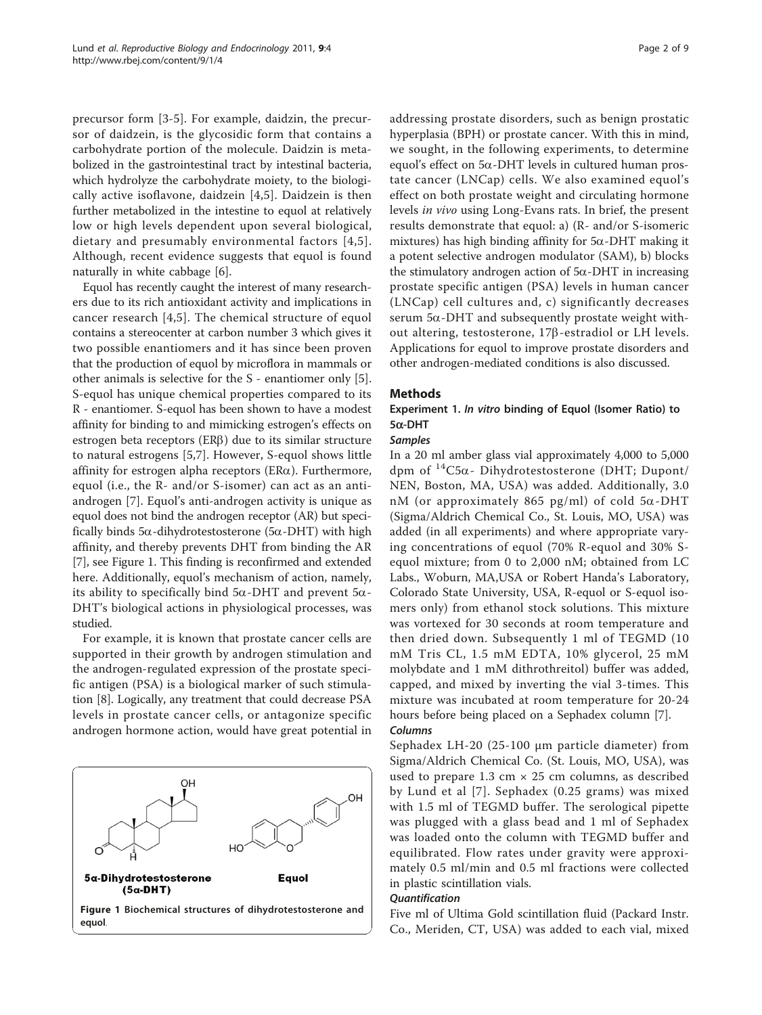precursor form [[3](#page-7-0)-[5\]](#page-7-0). For example, daidzin, the precursor of daidzein, is the glycosidic form that contains a carbohydrate portion of the molecule. Daidzin is metabolized in the gastrointestinal tract by intestinal bacteria, which hydrolyze the carbohydrate moiety, to the biologically active isoflavone, daidzein [[4,5](#page-7-0)]. Daidzein is then further metabolized in the intestine to equol at relatively low or high levels dependent upon several biological, dietary and presumably environmental factors [[4,5\]](#page-7-0). Although, recent evidence suggests that equol is found naturally in white cabbage [[6\]](#page-7-0).

Equol has recently caught the interest of many researchers due to its rich antioxidant activity and implications in cancer research [\[4,5](#page-7-0)]. The chemical structure of equol contains a stereocenter at carbon number 3 which gives it two possible enantiomers and it has since been proven that the production of equol by microflora in mammals or other animals is selective for the S - enantiomer only [\[5](#page-7-0)]. S-equol has unique chemical properties compared to its R - enantiomer. S-equol has been shown to have a modest affinity for binding to and mimicking estrogen's effects on estrogen beta receptors (ERB) due to its similar structure to natural estrogens [[5,7](#page-7-0)]. However, S-equol shows little affinity for estrogen alpha receptors ( $ER\alpha$ ). Furthermore, equol (i.e., the R- and/or S-isomer) can act as an antiandrogen [[7\]](#page-7-0). Equol's anti-androgen activity is unique as equol does not bind the androgen receptor (AR) but specifically binds 5 $\alpha$ -dihydrotestosterone (5 $\alpha$ -DHT) with high affinity, and thereby prevents DHT from binding the AR [[7\]](#page-7-0), see Figure 1. This finding is reconfirmed and extended here. Additionally, equol's mechanism of action, namely, its ability to specifically bind  $5\alpha$ -DHT and prevent  $5\alpha$ -DHT's biological actions in physiological processes, was studied.

For example, it is known that prostate cancer cells are supported in their growth by androgen stimulation and the androgen-regulated expression of the prostate specific antigen (PSA) is a biological marker of such stimulation [[8\]](#page-7-0). Logically, any treatment that could decrease PSA levels in prostate cancer cells, or antagonize specific androgen hormone action, would have great potential in



addressing prostate disorders, such as benign prostatic hyperplasia (BPH) or prostate cancer. With this in mind, we sought, in the following experiments, to determine equol's effect on  $5\alpha$ -DHT levels in cultured human prostate cancer (LNCap) cells. We also examined equol's effect on both prostate weight and circulating hormone levels in vivo using Long-Evans rats. In brief, the present results demonstrate that equol: a) (R- and/or S-isomeric mixtures) has high binding affinity for  $5\alpha$ -DHT making it a potent selective androgen modulator (SAM), b) blocks the stimulatory androgen action of  $5\alpha$ -DHT in increasing prostate specific antigen (PSA) levels in human cancer (LNCap) cell cultures and, c) significantly decreases serum  $5\alpha$ -DHT and subsequently prostate weight without altering, testosterone, 17b-estradiol or LH levels. Applications for equol to improve prostate disorders and other androgen-mediated conditions is also discussed.

# Methods

# Experiment 1. In vitro binding of Equol (Isomer Ratio) to  $5\alpha$ -DHT

#### **Samples**

In a 20 ml amber glass vial approximately 4,000 to 5,000 dpm of  $^{14}C5\alpha$ - Dihydrotestosterone (DHT; Dupont/ NEN, Boston, MA, USA) was added. Additionally, 3.0 nM (or approximately 865 pg/ml) of cold  $5\alpha$ -DHT (Sigma/Aldrich Chemical Co., St. Louis, MO, USA) was added (in all experiments) and where appropriate varying concentrations of equol (70% R-equol and 30% Sequol mixture; from 0 to 2,000 nM; obtained from LC Labs., Woburn, MA,USA or Robert Handa's Laboratory, Colorado State University, USA, R-equol or S-equol isomers only) from ethanol stock solutions. This mixture was vortexed for 30 seconds at room temperature and then dried down. Subsequently 1 ml of TEGMD (10 mM Tris CL, 1.5 mM EDTA, 10% glycerol, 25 mM molybdate and 1 mM dithrothreitol) buffer was added, capped, and mixed by inverting the vial 3-times. This mixture was incubated at room temperature for 20-24 hours before being placed on a Sephadex column [[7\]](#page-7-0).

#### Columns

Sephadex LH-20 (25-100 μm particle diameter) from Sigma/Aldrich Chemical Co. (St. Louis, MO, USA), was used to prepare  $1.3 \text{ cm} \times 25 \text{ cm}$  columns, as described by Lund et al [[7\]](#page-7-0). Sephadex (0.25 grams) was mixed with 1.5 ml of TEGMD buffer. The serological pipette was plugged with a glass bead and 1 ml of Sephadex was loaded onto the column with TEGMD buffer and equilibrated. Flow rates under gravity were approximately 0.5 ml/min and 0.5 ml fractions were collected in plastic scintillation vials.

#### **Quantification**

Five ml of Ultima Gold scintillation fluid (Packard Instr. Co., Meriden, CT, USA) was added to each vial, mixed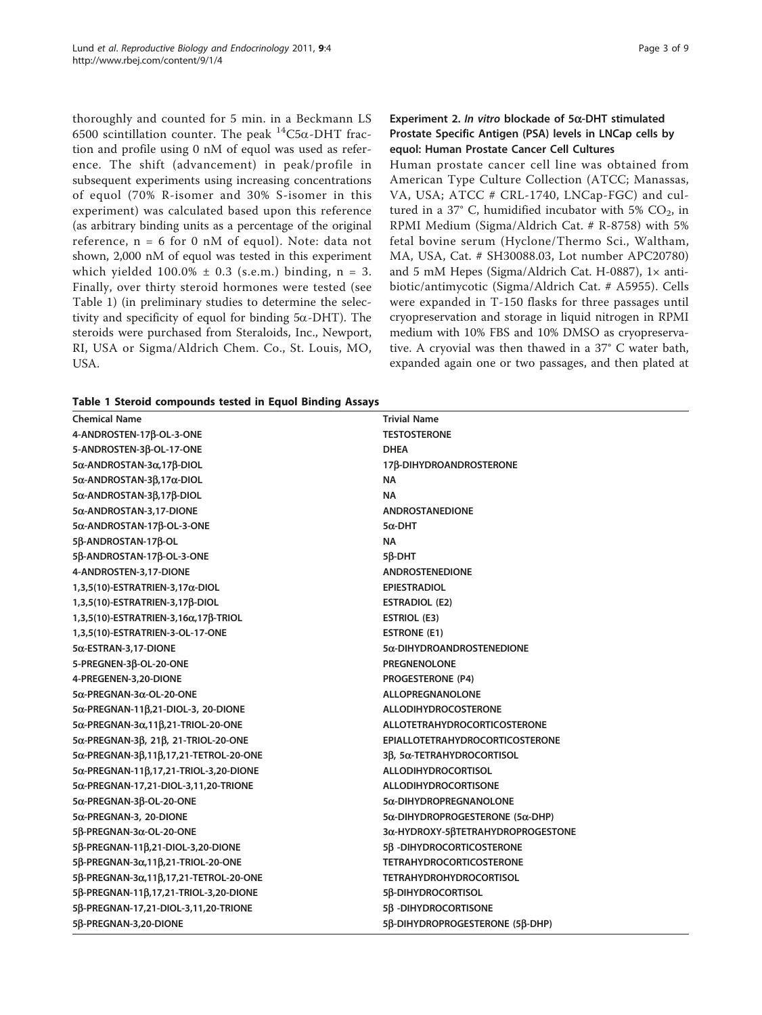<span id="page-2-0"></span>thoroughly and counted for 5 min. in a Beckmann LS 6500 scintillation counter. The peak  ${}^{14}C5\alpha$ -DHT fraction and profile using 0 nM of equol was used as reference. The shift (advancement) in peak/profile in subsequent experiments using increasing concentrations of equol (70% R-isomer and 30% S-isomer in this experiment) was calculated based upon this reference (as arbitrary binding units as a percentage of the original reference, n = 6 for 0 nM of equol). Note: data not shown, 2,000 nM of equol was tested in this experiment which yielded  $100.0\% \pm 0.3$  (s.e.m.) binding, n = 3. Finally, over thirty steroid hormones were tested (see Table 1) (in preliminary studies to determine the selectivity and specificity of equol for binding  $5\alpha$ -DHT). The steroids were purchased from Steraloids, Inc., Newport, RI, USA or Sigma/Aldrich Chem. Co., St. Louis, MO, USA.

|  |  |  |  | Table 1 Steroid compounds tested in Equol Binding Assays |  |  |  |  |  |
|--|--|--|--|----------------------------------------------------------|--|--|--|--|--|
|--|--|--|--|----------------------------------------------------------|--|--|--|--|--|

# Experiment 2. In vitro blockade of  $5\alpha$ -DHT stimulated Prostate Specific Antigen (PSA) levels in LNCap cells by equol: Human Prostate Cancer Cell Cultures

Human prostate cancer cell line was obtained from American Type Culture Collection (ATCC; Manassas, VA, USA; ATCC # CRL-1740, LNCap-FGC) and cultured in a 37 $^{\circ}$  C, humidified incubator with 5% CO<sub>2</sub>, in RPMI Medium (Sigma/Aldrich Cat. # R-8758) with 5% fetal bovine serum (Hyclone/Thermo Sci., Waltham, MA, USA, Cat. # SH30088.03, Lot number APC20780) and 5 mM Hepes (Sigma/Aldrich Cat. H-0887), 1× antibiotic/antimycotic (Sigma/Aldrich Cat. # A5955). Cells were expanded in T-150 flasks for three passages until cryopreservation and storage in liquid nitrogen in RPMI medium with 10% FBS and 10% DMSO as cryopreservative. A cryovial was then thawed in a 37° C water bath, expanded again one or two passages, and then plated at

| <b>Chemical Name</b>                                       | <b>Trivial Name</b>                              |
|------------------------------------------------------------|--------------------------------------------------|
| 4-ANDROSTEN-17β-OL-3-ONE                                   | <b>TESTOSTERONE</b>                              |
| 5-ANDROSTEN-3ß-OL-17-ONE                                   | <b>DHEA</b>                                      |
| 5α-ANDROSTAN-3α,17β-DIOL                                   | 17ß-DIHYDROANDROSTERONE                          |
| 5α-ANDROSTAN-3 $\beta$ ,17α-DIOL                           | NA.                                              |
| $5\alpha$ -ANDROSTAN-3 $\beta$ ,17 $\beta$ -DIOL           | <b>NA</b>                                        |
| 5a-ANDROSTAN-3,17-DIONE                                    | <b>ANDROSTANEDIONE</b>                           |
| 5α-ANDROSTAN-17β-OL-3-ONE                                  | $5\alpha$ -DHT                                   |
| 5β-ANDROSTAN-17β-OL                                        | NA.                                              |
| 5ß-ANDROSTAN-17ß-OL-3-ONE                                  | $5\beta$ -DHT                                    |
| 4-ANDROSTEN-3,17-DIONE                                     | <b>ANDROSTENEDIONE</b>                           |
| $1,3,5(10)$ -ESTRATRIEN-3,17 $\alpha$ -DIOL                | <b>EPIESTRADIOL</b>                              |
| 1,3,5(10)-ESTRATRIEN-3,17β-DIOL                            | <b>ESTRADIOL (E2)</b>                            |
| 1,3,5(10)-ESTRATRIEN-3,16α,17β-TRIOL                       | <b>ESTRIOL (E3)</b>                              |
| 1,3,5(10)-ESTRATRIEN-3-OL-17-ONE                           | ESTRONE (E1)                                     |
| 5 x-ESTRAN-3, 17-DIONE                                     | 5α-DIHYDROANDROSTENEDIONE                        |
| 5-PREGNEN-3ß-OL-20-ONE                                     | <b>PREGNENOLONE</b>                              |
| 4-PREGENEN-3,20-DIONE                                      | <b>PROGESTERONE (P4)</b>                         |
| 5 $\alpha$ -PREGNAN-3 $\alpha$ -OL-20-ONE                  | <b>ALLOPREGNANOLONE</b>                          |
| $5\alpha$ -PREGNAN-11 $\beta$ ,21-DIOL-3, 20-DIONE         | <b>ALLODIHYDROCOSTERONE</b>                      |
| $5\alpha$ -PREGNAN-3 $\alpha$ ,11 $\beta$ ,21-TRIOL-20-ONE | <b>ALLOTETRAHYDROCORTICOSTERONE</b>              |
| 5α-PREGNAN-3β, 21β, 21-TRIOL-20-ONE                        | <b>EPIALLOTETRAHYDROCORTICOSTERONE</b>           |
| 5α-PREGNAN-3β,11β,17,21-TETROL-20-ONE                      | 3β, 5α-TETRAHYDROCORTISOL                        |
| 5α-PREGNAN-11β,17,21-TRIOL-3,20-DIONE                      | <b>ALLODIHYDROCORTISOL</b>                       |
| 5α-PREGNAN-17,21-DIOL-3,11,20-TRIONE                       | <b>ALLODIHYDROCORTISONE</b>                      |
| 5α-PREGNAN-3β-OL-20-ONE                                    | 5a-DIHYDROPREGNANOLONE                           |
| 5a-PREGNAN-3, 20-DIONE                                     | $5\alpha$ -DIHYDROPROGESTERONE (5 $\alpha$ -DHP) |
| 5β-PREGNAN-3α-OL-20-ONE                                    | 3α-HYDROXY-5βTETRAHYDROPROGESTONE                |
| 5β-PREGNAN-11β,21-DIOL-3,20-DIONE                          | 5ß - DIHYDROCORTICOSTERONE                       |
| 5β-PREGNAN-3α,11β,21-TRIOL-20-ONE                          | <b>TETRAHYDROCORTICOSTERONE</b>                  |
| 5β-PREGNAN-3α,11β,17,21-TETROL-20-ONE                      | <b>TETRAHYDROHYDROCORTISOL</b>                   |
| 5β-PREGNAN-11β,17,21-TRIOL-3,20-DIONE                      | 5ß-DIHYDROCORTISOL                               |
| 5ß-PREGNAN-17,21-DIOL-3,11,20-TRIONE                       | 5ß - DIHYDROCORTISONE                            |
| 5ß-PREGNAN-3,20-DIONE                                      | 5β-DIHYDROPROGESTERONE (5β-DHP)                  |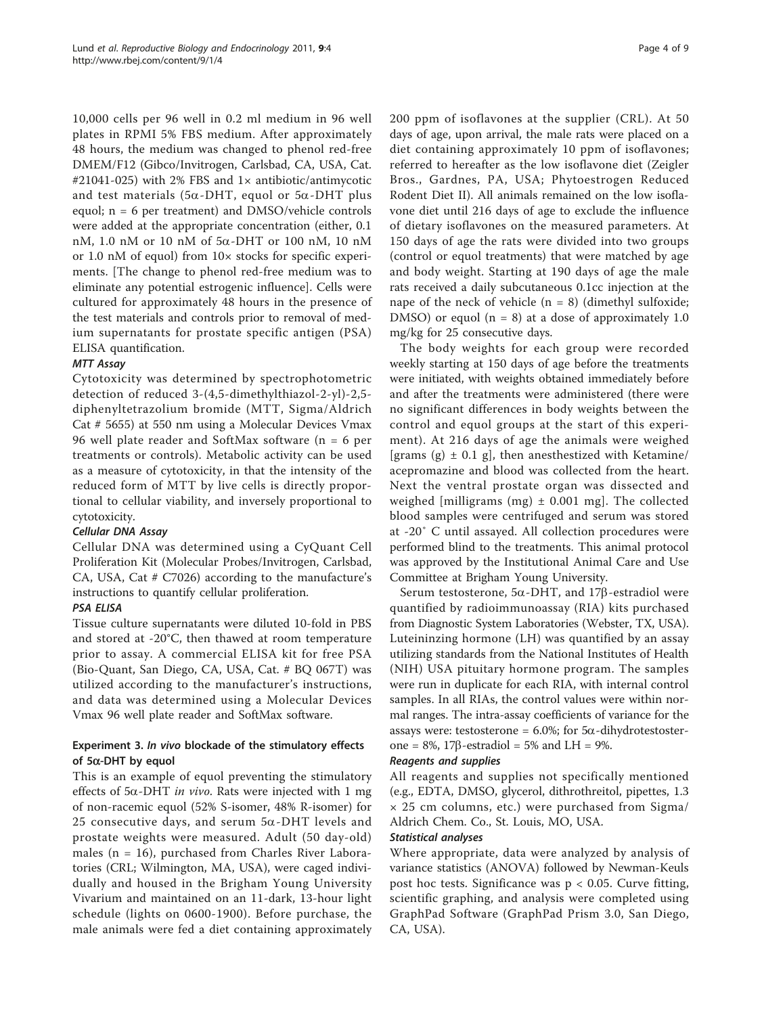10,000 cells per 96 well in 0.2 ml medium in 96 well plates in RPMI 5% FBS medium. After approximately 48 hours, the medium was changed to phenol red-free DMEM/F12 (Gibco/Invitrogen, Carlsbad, CA, USA, Cat. #21041-025) with 2% FBS and 1× antibiotic/antimycotic and test materials (5 $\alpha$ -DHT, equol or 5 $\alpha$ -DHT plus equol; n = 6 per treatment) and DMSO/vehicle controls were added at the appropriate concentration (either, 0.1 nM, 1.0 nM or 10 nM of 5a-DHT or 100 nM, 10 nM or 1.0 nM of equol) from 10× stocks for specific experiments. [The change to phenol red-free medium was to eliminate any potential estrogenic influence]. Cells were cultured for approximately 48 hours in the presence of the test materials and controls prior to removal of medium supernatants for prostate specific antigen (PSA) ELISA quantification.

# MTT Assay

Cytotoxicity was determined by spectrophotometric detection of reduced 3-(4,5-dimethylthiazol-2-yl)-2,5 diphenyltetrazolium bromide (MTT, Sigma/Aldrich Cat # 5655) at 550 nm using a Molecular Devices Vmax 96 well plate reader and SoftMax software (n = 6 per treatments or controls). Metabolic activity can be used as a measure of cytotoxicity, in that the intensity of the reduced form of MTT by live cells is directly proportional to cellular viability, and inversely proportional to cytotoxicity.

# Cellular DNA Assay

Cellular DNA was determined using a CyQuant Cell Proliferation Kit (Molecular Probes/Invitrogen, Carlsbad, CA, USA, Cat # C7026) according to the manufacture's instructions to quantify cellular proliferation.

# PSA ELISA

Tissue culture supernatants were diluted 10-fold in PBS and stored at -20°C, then thawed at room temperature prior to assay. A commercial ELISA kit for free PSA (Bio-Quant, San Diego, CA, USA, Cat. # BQ 067T) was utilized according to the manufacturer's instructions, and data was determined using a Molecular Devices Vmax 96 well plate reader and SoftMax software.

# Experiment 3. In vivo blockade of the stimulatory effects of  $5\alpha$ -DHT by equol

This is an example of equol preventing the stimulatory effects of  $5\alpha$ -DHT in vivo. Rats were injected with 1 mg of non-racemic equol (52% S-isomer, 48% R-isomer) for 25 consecutive days, and serum  $5\alpha$ -DHT levels and prostate weights were measured. Adult (50 day-old) males (n = 16), purchased from Charles River Laboratories (CRL; Wilmington, MA, USA), were caged individually and housed in the Brigham Young University Vivarium and maintained on an 11-dark, 13-hour light schedule (lights on 0600-1900). Before purchase, the male animals were fed a diet containing approximately 200 ppm of isoflavones at the supplier (CRL). At 50 days of age, upon arrival, the male rats were placed on a diet containing approximately 10 ppm of isoflavones; referred to hereafter as the low isoflavone diet (Zeigler Bros., Gardnes, PA, USA; Phytoestrogen Reduced Rodent Diet II). All animals remained on the low isoflavone diet until 216 days of age to exclude the influence of dietary isoflavones on the measured parameters. At 150 days of age the rats were divided into two groups (control or equol treatments) that were matched by age and body weight. Starting at 190 days of age the male rats received a daily subcutaneous 0.1cc injection at the nape of the neck of vehicle  $(n = 8)$  (dimethyl sulfoxide; DMSO) or equol  $(n = 8)$  at a dose of approximately 1.0 mg/kg for 25 consecutive days.

The body weights for each group were recorded weekly starting at 150 days of age before the treatments were initiated, with weights obtained immediately before and after the treatments were administered (there were no significant differences in body weights between the control and equol groups at the start of this experiment). At 216 days of age the animals were weighed [grams (g)  $\pm$  0.1 g], then anesthestized with Ketamine/ acepromazine and blood was collected from the heart. Next the ventral prostate organ was dissected and weighed [milligrams (mg)  $\pm$  0.001 mg]. The collected blood samples were centrifuged and serum was stored at -20˚ C until assayed. All collection procedures were performed blind to the treatments. This animal protocol was approved by the Institutional Animal Care and Use Committee at Brigham Young University.

Serum testosterone, 5 $\alpha$ -DHT, and 17 $\beta$ -estradiol were quantified by radioimmunoassay (RIA) kits purchased from Diagnostic System Laboratories (Webster, TX, USA). Luteininzing hormone (LH) was quantified by an assay utilizing standards from the National Institutes of Health (NIH) USA pituitary hormone program. The samples were run in duplicate for each RIA, with internal control samples. In all RIAs, the control values were within normal ranges. The intra-assay coefficients of variance for the assays were: testosterone =  $6.0\%$ ; for  $5\alpha$ -dihydrotestosterone =  $8\%$ , 17 $\beta$ -estradiol = 5% and LH = 9%.

# Reagents and supplies

All reagents and supplies not specifically mentioned (e.g., EDTA, DMSO, glycerol, dithrothreitol, pipettes, 1.3 × 25 cm columns, etc.) were purchased from Sigma/ Aldrich Chem. Co., St. Louis, MO, USA.

#### Statistical analyses

Where appropriate, data were analyzed by analysis of variance statistics (ANOVA) followed by Newman-Keuls post hoc tests. Significance was  $p < 0.05$ . Curve fitting, scientific graphing, and analysis were completed using GraphPad Software (GraphPad Prism 3.0, San Diego, CA, USA).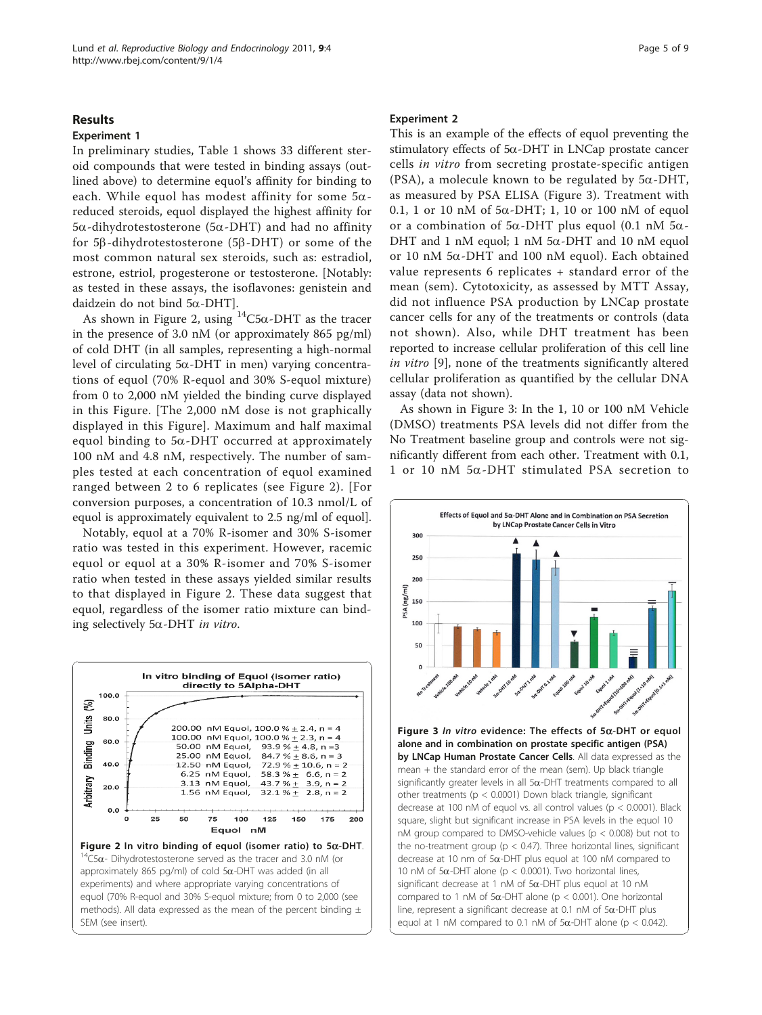#### <span id="page-4-0"></span>Results

#### Experiment 1

In preliminary studies, Table [1](#page-2-0) shows 33 different steroid compounds that were tested in binding assays (outlined above) to determine equol's affinity for binding to each. While equol has modest affinity for some  $5\alpha$ reduced steroids, equol displayed the highest affinity for  $5\alpha$ -dihydrotestosterone ( $5\alpha$ -DHT) and had no affinity for  $5\beta$ -dihydrotestosterone ( $5\beta$ -DHT) or some of the most common natural sex steroids, such as: estradiol, estrone, estriol, progesterone or testosterone. [Notably: as tested in these assays, the isoflavones: genistein and daidzein do not bind  $5\alpha$ -DHT].

As shown in Figure 2, using  $14C5\alpha$ -DHT as the tracer in the presence of 3.0 nM (or approximately 865 pg/ml) of cold DHT (in all samples, representing a high-normal level of circulating  $5\alpha$ -DHT in men) varying concentrations of equol (70% R-equol and 30% S-equol mixture) from 0 to 2,000 nM yielded the binding curve displayed in this Figure. [The 2,000 nM dose is not graphically displayed in this Figure]. Maximum and half maximal equol binding to  $5\alpha$ -DHT occurred at approximately 100 nM and 4.8 nM, respectively. The number of samples tested at each concentration of equol examined ranged between 2 to 6 replicates (see Figure 2). [For conversion purposes, a concentration of 10.3 nmol/L of equol is approximately equivalent to 2.5 ng/ml of equol].

Notably, equol at a 70% R-isomer and 30% S-isomer ratio was tested in this experiment. However, racemic equol or equol at a 30% R-isomer and 70% S-isomer ratio when tested in these assays yielded similar results to that displayed in Figure 2. These data suggest that equol, regardless of the isomer ratio mixture can binding selectively  $5\alpha$ -DHT in vitro.



#### Experiment 2

This is an example of the effects of equol preventing the stimulatory effects of  $5\alpha$ -DHT in LNCap prostate cancer cells in vitro from secreting prostate-specific antigen (PSA), a molecule known to be regulated by  $5\alpha$ -DHT, as measured by PSA ELISA (Figure 3). Treatment with 0.1, 1 or 10 nM of  $5\alpha$ -DHT; 1, 10 or 100 nM of equol or a combination of  $5\alpha$ -DHT plus equol (0.1 nM  $5\alpha$ -DHT and 1 nM equol; 1 nM  $5\alpha$ -DHT and 10 nM equol or 10 nM  $5\alpha$ -DHT and 100 nM equol). Each obtained value represents 6 replicates + standard error of the mean (sem). Cytotoxicity, as assessed by MTT Assay, did not influence PSA production by LNCap prostate cancer cells for any of the treatments or controls (data not shown). Also, while DHT treatment has been reported to increase cellular proliferation of this cell line in vitro [\[9](#page-7-0)], none of the treatments significantly altered cellular proliferation as quantified by the cellular DNA assay (data not shown).

As shown in Figure 3: In the 1, 10 or 100 nM Vehicle (DMSO) treatments PSA levels did not differ from the No Treatment baseline group and controls were not significantly different from each other. Treatment with 0.1, 1 or 10 nM 5a-DHT stimulated PSA secretion to

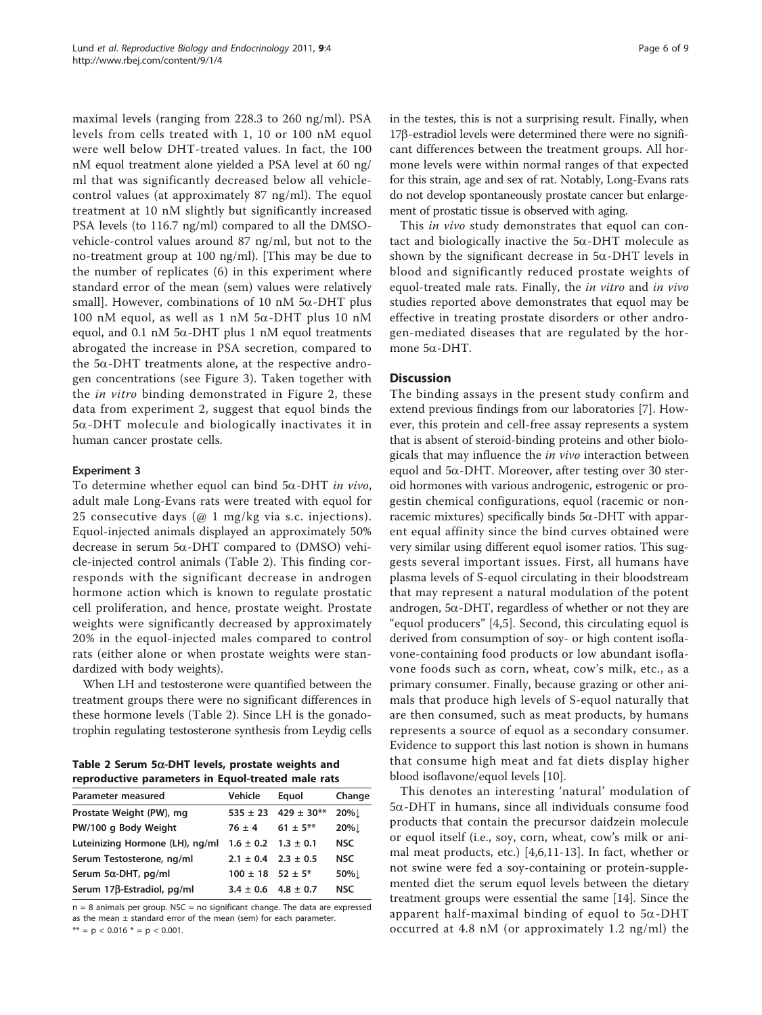maximal levels (ranging from 228.3 to 260 ng/ml). PSA levels from cells treated with 1, 10 or 100 nM equol were well below DHT-treated values. In fact, the 100 nM equol treatment alone yielded a PSA level at 60 ng/ ml that was significantly decreased below all vehiclecontrol values (at approximately 87 ng/ml). The equol treatment at 10 nM slightly but significantly increased PSA levels (to 116.7 ng/ml) compared to all the DMSOvehicle-control values around 87 ng/ml, but not to the no-treatment group at 100 ng/ml). [This may be due to the number of replicates (6) in this experiment where standard error of the mean (sem) values were relatively small]. However, combinations of 10 nM  $5\alpha$ -DHT plus 100 nM equol, as well as 1 nM  $5\alpha$ -DHT plus 10 nM equol, and 0.1 nM  $5\alpha$ -DHT plus 1 nM equol treatments abrogated the increase in PSA secretion, compared to the  $5\alpha$ -DHT treatments alone, at the respective androgen concentrations (see Figure [3](#page-4-0)). Taken together with the in vitro binding demonstrated in Figure [2,](#page-4-0) these data from experiment 2, suggest that equol binds the  $5\alpha$ -DHT molecule and biologically inactivates it in human cancer prostate cells.

# Experiment 3

To determine whether equol can bind  $5\alpha$ -DHT *in vivo*, adult male Long-Evans rats were treated with equol for 25 consecutive days (@ 1 mg/kg via s.c. injections). Equol-injected animals displayed an approximately 50% decrease in serum  $5\alpha$ -DHT compared to (DMSO) vehicle-injected control animals (Table 2). This finding corresponds with the significant decrease in androgen hormone action which is known to regulate prostatic cell proliferation, and hence, prostate weight. Prostate weights were significantly decreased by approximately 20% in the equol-injected males compared to control rats (either alone or when prostate weights were standardized with body weights).

When LH and testosterone were quantified between the treatment groups there were no significant differences in these hormone levels (Table 2). Since LH is the gonadotrophin regulating testosterone synthesis from Leydig cells

Table 2 Serum 5 $\alpha$ -DHT levels, prostate weights and reproductive parameters in Equol-treated male rats

| Vehicle    | Equol         | Change                                                                                                                                       |
|------------|---------------|----------------------------------------------------------------------------------------------------------------------------------------------|
|            |               | 20%」                                                                                                                                         |
| $76 \pm 4$ | $61 \pm 5***$ | 20%」                                                                                                                                         |
|            |               | <b>NSC</b>                                                                                                                                   |
|            |               | <b>NSC</b>                                                                                                                                   |
|            |               | 50%L                                                                                                                                         |
|            |               | <b>NSC</b>                                                                                                                                   |
|            |               | $535 \pm 23$ 429 ± 30**<br>$1.6 \pm 0.2$ $1.3 \pm 0.1$<br>$2.1 \pm 0.4$ $2.3 \pm 0.5$<br>$100 \pm 18$ 52 ± 5*<br>$3.4 \pm 0.6$ 4.8 $\pm$ 0.7 |

 $n = 8$  animals per group. NSC = no significant change. The data are expressed as the mean  $\pm$  standard error of the mean (sem) for each parameter. \*\* =  $p$  < 0.016 \* =  $p$  < 0.001.

Page 6 of 9

in the testes, this is not a surprising result. Finally, when  $17\beta$ -estradiol levels were determined there were no significant differences between the treatment groups. All hormone levels were within normal ranges of that expected for this strain, age and sex of rat. Notably, Long-Evans rats do not develop spontaneously prostate cancer but enlargement of prostatic tissue is observed with aging.

This *in vivo* study demonstrates that equol can contact and biologically inactive the  $5\alpha$ -DHT molecule as shown by the significant decrease in  $5\alpha$ -DHT levels in blood and significantly reduced prostate weights of equol-treated male rats. Finally, the *in vitro* and *in vivo* studies reported above demonstrates that equol may be effective in treating prostate disorders or other androgen-mediated diseases that are regulated by the hormone 5a-DHT.

# **Discussion**

The binding assays in the present study confirm and extend previous findings from our laboratories [\[7](#page-7-0)]. However, this protein and cell-free assay represents a system that is absent of steroid-binding proteins and other biologicals that may influence the in vivo interaction between equol and  $5\alpha$ -DHT. Moreover, after testing over 30 steroid hormones with various androgenic, estrogenic or progestin chemical configurations, equol (racemic or nonracemic mixtures) specifically binds  $5\alpha$ -DHT with apparent equal affinity since the bind curves obtained were very similar using different equol isomer ratios. This suggests several important issues. First, all humans have plasma levels of S-equol circulating in their bloodstream that may represent a natural modulation of the potent androgen,  $5\alpha$ -DHT, regardless of whether or not they are "equol producers" [[4,5\]](#page-7-0). Second, this circulating equol is derived from consumption of soy- or high content isoflavone-containing food products or low abundant isoflavone foods such as corn, wheat, cow's milk, etc., as a primary consumer. Finally, because grazing or other animals that produce high levels of S-equol naturally that are then consumed, such as meat products, by humans represents a source of equol as a secondary consumer. Evidence to support this last notion is shown in humans that consume high meat and fat diets display higher blood isoflavone/equol levels [[10](#page-7-0)].

This denotes an interesting 'natural' modulation of  $5\alpha$ -DHT in humans, since all individuals consume food products that contain the precursor daidzein molecule or equol itself (i.e., soy, corn, wheat, cow's milk or animal meat products, etc.) [\[4,6](#page-7-0),[11-13](#page-7-0)]. In fact, whether or not swine were fed a soy-containing or protein-supplemented diet the serum equol levels between the dietary treatment groups were essential the same [\[14](#page-7-0)]. Since the apparent half-maximal binding of equol to  $5\alpha$ -DHT occurred at 4.8 nM (or approximately 1.2 ng/ml) the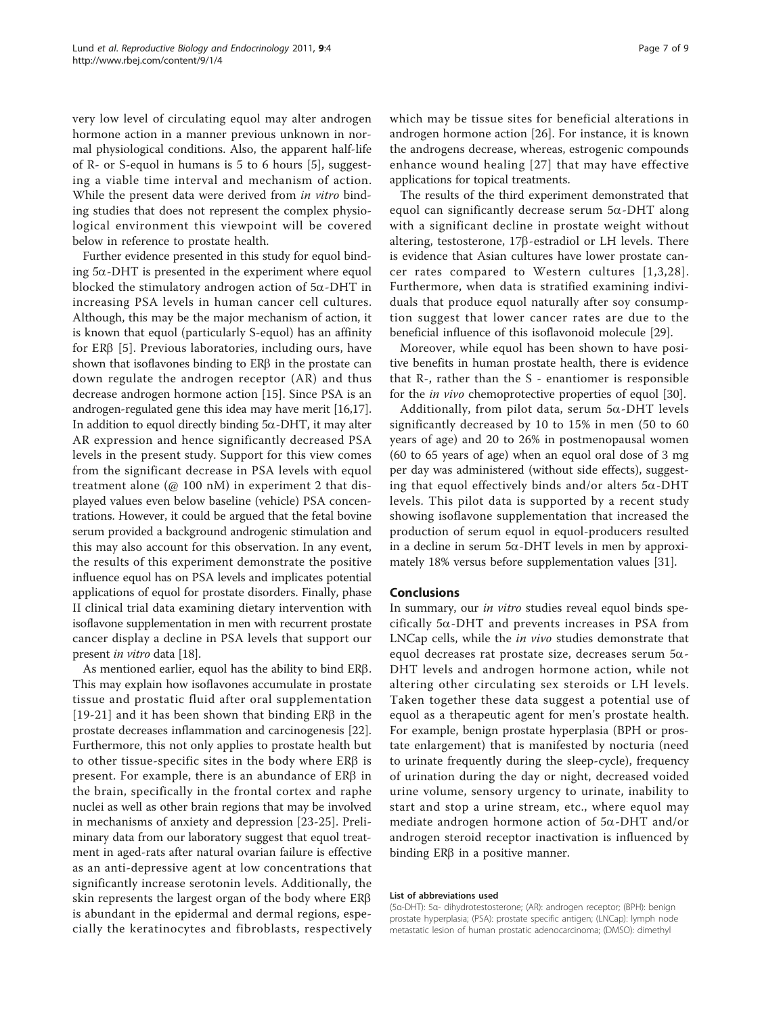very low level of circulating equol may alter androgen hormone action in a manner previous unknown in normal physiological conditions. Also, the apparent half-life of R- or S-equol in humans is 5 to 6 hours [\[5](#page-7-0)], suggesting a viable time interval and mechanism of action. While the present data were derived from in vitro binding studies that does not represent the complex physiological environment this viewpoint will be covered below in reference to prostate health.

Further evidence presented in this study for equol binding  $5\alpha$ -DHT is presented in the experiment where equol blocked the stimulatory androgen action of  $5\alpha$ -DHT in increasing PSA levels in human cancer cell cultures. Although, this may be the major mechanism of action, it is known that equol (particularly S-equol) has an affinity for  $ER\beta$  [[5\]](#page-7-0). Previous laboratories, including ours, have shown that isoflavones binding to  $ER\beta$  in the prostate can down regulate the androgen receptor (AR) and thus decrease androgen hormone action [[15\]](#page-7-0). Since PSA is an androgen-regulated gene this idea may have merit [[16,17](#page-7-0)]. In addition to equol directly binding  $5\alpha$ -DHT, it may alter AR expression and hence significantly decreased PSA levels in the present study. Support for this view comes from the significant decrease in PSA levels with equol treatment alone (@ 100 nM) in experiment 2 that displayed values even below baseline (vehicle) PSA concentrations. However, it could be argued that the fetal bovine serum provided a background androgenic stimulation and this may also account for this observation. In any event, the results of this experiment demonstrate the positive influence equol has on PSA levels and implicates potential applications of equol for prostate disorders. Finally, phase II clinical trial data examining dietary intervention with isoflavone supplementation in men with recurrent prostate cancer display a decline in PSA levels that support our present in vitro data [\[18](#page-7-0)].

As mentioned earlier, equol has the ability to bind ER $\beta$ . This may explain how isoflavones accumulate in prostate tissue and prostatic fluid after oral supplementation [[19](#page-7-0)-[21](#page-7-0)] and it has been shown that binding  $ER\beta$  in the prostate decreases inflammation and carcinogenesis [\[22](#page-7-0)]. Furthermore, this not only applies to prostate health but to other tissue-specific sites in the body where  $ER\beta$  is present. For example, there is an abundance of  $ER\beta$  in the brain, specifically in the frontal cortex and raphe nuclei as well as other brain regions that may be involved in mechanisms of anxiety and depression [\[23](#page-7-0)-[25](#page-7-0)]. Preliminary data from our laboratory suggest that equol treatment in aged-rats after natural ovarian failure is effective as an anti-depressive agent at low concentrations that significantly increase serotonin levels. Additionally, the skin represents the largest organ of the body where  $ER\beta$ is abundant in the epidermal and dermal regions, especially the keratinocytes and fibroblasts, respectively which may be tissue sites for beneficial alterations in androgen hormone action [\[26](#page-7-0)]. For instance, it is known the androgens decrease, whereas, estrogenic compounds enhance wound healing [[27](#page-7-0)] that may have effective applications for topical treatments.

The results of the third experiment demonstrated that equol can significantly decrease serum  $5\alpha$ -DHT along with a significant decline in prostate weight without altering, testosterone,  $17\beta$ -estradiol or LH levels. There is evidence that Asian cultures have lower prostate cancer rates compared to Western cultures [[1](#page-7-0),[3](#page-7-0),[28\]](#page-7-0). Furthermore, when data is stratified examining individuals that produce equol naturally after soy consumption suggest that lower cancer rates are due to the beneficial influence of this isoflavonoid molecule [\[29](#page-7-0)].

Moreover, while equol has been shown to have positive benefits in human prostate health, there is evidence that R-, rather than the S - enantiomer is responsible for the in vivo chemoprotective properties of equol [\[30](#page-8-0)].

Additionally, from pilot data, serum  $5\alpha$ -DHT levels significantly decreased by 10 to 15% in men (50 to 60 years of age) and 20 to 26% in postmenopausal women (60 to 65 years of age) when an equol oral dose of 3 mg per day was administered (without side effects), suggesting that equol effectively binds and/or alters  $5\alpha$ -DHT levels. This pilot data is supported by a recent study showing isoflavone supplementation that increased the production of serum equol in equol-producers resulted in a decline in serum  $5\alpha$ -DHT levels in men by approximately 18% versus before supplementation values [\[31](#page-8-0)].

#### Conclusions

In summary, our in vitro studies reveal equol binds specifically  $5\alpha$ -DHT and prevents increases in PSA from LNCap cells, while the in vivo studies demonstrate that equol decreases rat prostate size, decreases serum  $5\alpha$ -DHT levels and androgen hormone action, while not altering other circulating sex steroids or LH levels. Taken together these data suggest a potential use of equol as a therapeutic agent for men's prostate health. For example, benign prostate hyperplasia (BPH or prostate enlargement) that is manifested by nocturia (need to urinate frequently during the sleep-cycle), frequency of urination during the day or night, decreased voided urine volume, sensory urgency to urinate, inability to start and stop a urine stream, etc., where equol may mediate androgen hormone action of  $5\alpha$ -DHT and/or androgen steroid receptor inactivation is influenced by binding  $ER\beta$  in a positive manner.

#### List of abbreviations used

(5α-DHT): 5α- dihydrotestosterone; (AR): androgen receptor; (BPH): benign prostate hyperplasia; (PSA): prostate specific antigen; (LNCap): lymph node metastatic lesion of human prostatic adenocarcinoma; (DMSO): dimethyl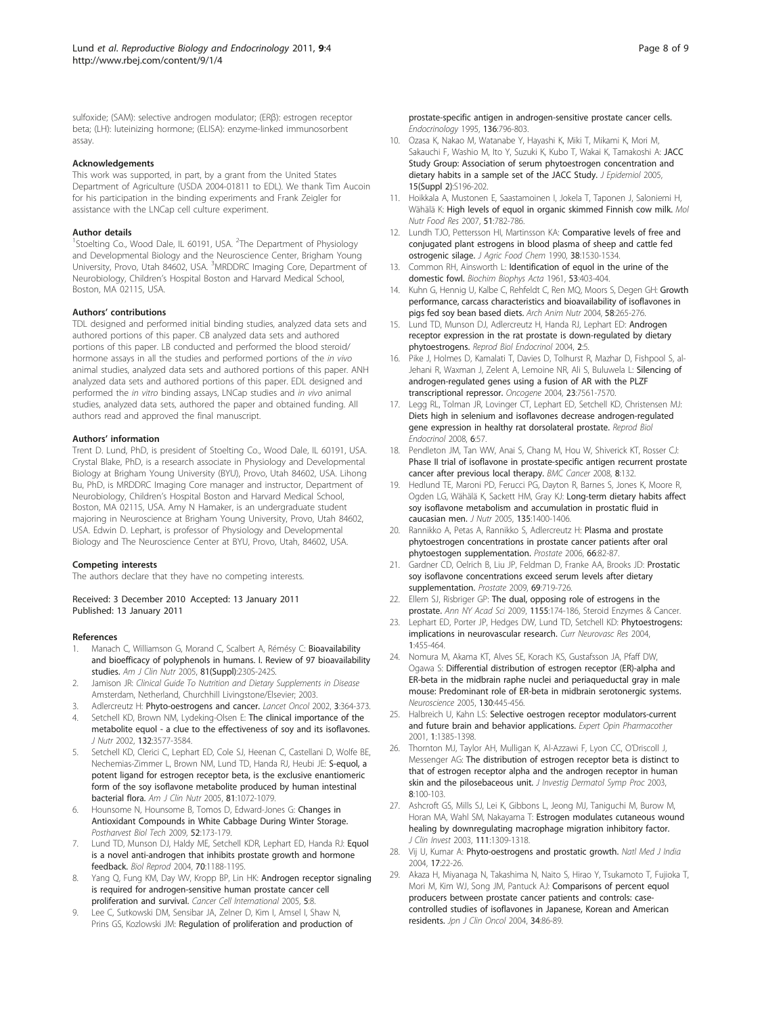<span id="page-7-0"></span>sulfoxide; (SAM): selective androgen modulator; (ERβ): estrogen receptor beta; (LH): luteinizing hormone; (ELISA): enzyme-linked immunosorbent assay.

#### Acknowledgements

This work was supported, in part, by a grant from the United States Department of Agriculture (USDA 2004-01811 to EDL). We thank Tim Aucoin for his participation in the binding experiments and Frank Zeigler for assistance with the LNCap cell culture experiment.

#### Author details

<sup>1</sup>Stoelting Co., Wood Dale, IL 60191, USA. <sup>2</sup>The Department of Physiology and Developmental Biology and the Neuroscience Center, Brigham Young University, Provo, Utah 84602, USA. <sup>3</sup>MRDDRC Imaging Core, Department of Neurobiology, Children's Hospital Boston and Harvard Medical School, Boston, MA 02115, USA.

#### Authors' contributions

TDL designed and performed initial binding studies, analyzed data sets and authored portions of this paper. CB analyzed data sets and authored portions of this paper. LB conducted and performed the blood steroid/ hormone assays in all the studies and performed portions of the in vivo animal studies, analyzed data sets and authored portions of this paper. ANH analyzed data sets and authored portions of this paper. EDL designed and performed the in vitro binding assays, LNCap studies and in vivo animal studies, analyzed data sets, authored the paper and obtained funding. All authors read and approved the final manuscript.

#### Authors' information

Trent D. Lund, PhD, is president of Stoelting Co., Wood Dale, IL 60191, USA. Crystal Blake, PhD, is a research associate in Physiology and Developmental Biology at Brigham Young University (BYU), Provo, Utah 84602, USA. Lihong Bu, PhD, is MRDDRC Imaging Core manager and instructor, Department of Neurobiology, Children's Hospital Boston and Harvard Medical School, Boston, MA 02115, USA. Amy N Hamaker, is an undergraduate student majoring in Neuroscience at Brigham Young University, Provo, Utah 84602, USA. Edwin D. Lephart, is professor of Physiology and Developmental Biology and The Neuroscience Center at BYU, Provo, Utah, 84602, USA.

#### Competing interests

The authors declare that they have no competing interests.

Received: 3 December 2010 Accepted: 13 January 2011 Published: 13 January 2011

#### References

- Manach C, Williamson G, Morand C, Scalbert A, Rémésy C: [Bioavailability](http://www.ncbi.nlm.nih.gov/pubmed/15640486?dopt=Abstract) [and bioefficacy of polyphenols in humans. I. Review of 97 bioavailability](http://www.ncbi.nlm.nih.gov/pubmed/15640486?dopt=Abstract) [studies.](http://www.ncbi.nlm.nih.gov/pubmed/15640486?dopt=Abstract) Am J Clin Nutr 2005, 81(Suppl):230S-242S.
- Jamison JR: Clinical Guide To Nutrition and Dietary Supplements in Disease Amsterdam, Netherland, Churchhill Livingstone/Elsevier; 2003.
- 3. Adlercreutz H: [Phyto-oestrogens and cancer.](http://www.ncbi.nlm.nih.gov/pubmed/12107024?dopt=Abstract) Lancet Oncol 2002, 3:364-373.
- 4. Setchell KD, Brown NM, Lydeking-Olsen E: [The clinical importance of the](http://www.ncbi.nlm.nih.gov/pubmed/12468591?dopt=Abstract) [metabolite equol - a clue to the effectiveness of soy and its isoflavones.](http://www.ncbi.nlm.nih.gov/pubmed/12468591?dopt=Abstract) J Nutr 2002, 132:3577-3584.
- 5. Setchell KD, Clerici C, Lephart ED, Cole SJ, Heenan C, Castellani D, Wolfe BE, Nechemias-Zimmer L, Brown NM, Lund TD, Handa RJ, Heubi JE: [S-equol, a](http://www.ncbi.nlm.nih.gov/pubmed/15883431?dopt=Abstract) [potent ligand for estrogen receptor beta, is the exclusive enantiomeric](http://www.ncbi.nlm.nih.gov/pubmed/15883431?dopt=Abstract) [form of the soy isoflavone metabolite produced by human intestinal](http://www.ncbi.nlm.nih.gov/pubmed/15883431?dopt=Abstract) [bacterial flora.](http://www.ncbi.nlm.nih.gov/pubmed/15883431?dopt=Abstract) Am J Clin Nutr 2005, 81:1072-1079.
- 6. Hounsome N, Hounsome B, Tomos D, Edward-Jones G: Changes in Antioxidant Compounds in White Cabbage During Winter Storage. Postharvest Biol Tech 2009, 52:173-179.
- 7. Lund TD, Munson DJ, Haldy ME, Setchell KDR, Lephart ED, Handa RJ: [Equol](http://www.ncbi.nlm.nih.gov/pubmed/14681200?dopt=Abstract) [is a novel anti-androgen that inhibits prostate growth and hormone](http://www.ncbi.nlm.nih.gov/pubmed/14681200?dopt=Abstract) [feedback.](http://www.ncbi.nlm.nih.gov/pubmed/14681200?dopt=Abstract) Biol Reprod 2004, 70:1188-1195.
- Yang Q, Fung KM, Day WV, Kropp BP, Lin HK: [Androgen receptor signaling](http://www.ncbi.nlm.nih.gov/pubmed/15813967?dopt=Abstract) [is required for androgen-sensitive human prostate cancer cell](http://www.ncbi.nlm.nih.gov/pubmed/15813967?dopt=Abstract) [proliferation and survival.](http://www.ncbi.nlm.nih.gov/pubmed/15813967?dopt=Abstract) Cancer Cell International 2005, 5:8.
- Lee C, Sutkowski DM, Sensibar JA, Zelner D, Kim I, Amsel I, Shaw N, Prins GS, Kozlowski JM: [Regulation of proliferation and production of](http://www.ncbi.nlm.nih.gov/pubmed/7530653?dopt=Abstract)

[prostate-specific antigen in androgen-sensitive prostate cancer cells.](http://www.ncbi.nlm.nih.gov/pubmed/7530653?dopt=Abstract) Endocrinology 1995, 136:796-803.

- 10. Ozasa K, Nakao M, Watanabe Y, Hayashi K, Miki T, Mikami K, Mori M, Sakauchi F, Washio M, Ito Y, Suzuki K, Kubo T, Wakai K, Tamakoshi A: [JACC](http://www.ncbi.nlm.nih.gov/pubmed/16127234?dopt=Abstract) [Study Group: Association of serum phytoestrogen concentration and](http://www.ncbi.nlm.nih.gov/pubmed/16127234?dopt=Abstract) [dietary habits in a sample set of the JACC Study.](http://www.ncbi.nlm.nih.gov/pubmed/16127234?dopt=Abstract) J Epidemiol 2005, 15(Suppl 2):S196-202.
- 11. Hoikkala A, Mustonen E, Saastamoinen I, Jokela T, Taponen J, Saloniemi H, Wähälä K: [High levels of equol in organic skimmed Finnish cow milk.](http://www.ncbi.nlm.nih.gov/pubmed/17576638?dopt=Abstract) Mol Nutr Food Res 2007, 51:782-786.
- 12. Lundh TJO, Pettersson HI, Martinsson KA: Comparative levels of free and conjugated plant estrogens in blood plasma of sheep and cattle fed ostrogenic silage. J Agric Food Chem 1990, 38:1530-1534.
- 13. Common RH, Ainsworth L: [Identification of equol in the urine of the](http://www.ncbi.nlm.nih.gov/pubmed/13880769?dopt=Abstract) [domestic fowl.](http://www.ncbi.nlm.nih.gov/pubmed/13880769?dopt=Abstract) Biochim Biophys Acta 1961, 53:403-404.
- 14. Kuhn G, Hennig U, Kalbe C, Rehfeldt C, Ren MQ, Moors S, Degen GH: [Growth](http://www.ncbi.nlm.nih.gov/pubmed/15570741?dopt=Abstract) [performance, carcass characteristics and bioavailability of isoflavones in](http://www.ncbi.nlm.nih.gov/pubmed/15570741?dopt=Abstract) [pigs fed soy bean based diets.](http://www.ncbi.nlm.nih.gov/pubmed/15570741?dopt=Abstract) Arch Anim Nutr 2004, 58:265-276.
- 15. Lund TD, Munson DJ, Adlercreutz H, Handa RJ, Lephart ED: [Androgen](http://www.ncbi.nlm.nih.gov/pubmed/14728729?dopt=Abstract) receptor [expression in the rat prostate is down-regulated by dietary](http://www.ncbi.nlm.nih.gov/pubmed/14728729?dopt=Abstract) [phytoestrogens.](http://www.ncbi.nlm.nih.gov/pubmed/14728729?dopt=Abstract) Reprod Biol Endocrinol 2004, 2:5.
- 16. Pike J, Holmes D, Kamalati T, Davies D, Tolhurst R, Mazhar D, Fishpool S, al-Jehani R, Waxman J, Zelent A, Lemoine NR, Ali S, Buluwela L: [Silencing of](http://www.ncbi.nlm.nih.gov/pubmed/15334066?dopt=Abstract) [androgen-regulated genes using a fusion of AR with the PLZF](http://www.ncbi.nlm.nih.gov/pubmed/15334066?dopt=Abstract) [transcriptional repressor.](http://www.ncbi.nlm.nih.gov/pubmed/15334066?dopt=Abstract) Oncogene 2004, 23:7561-7570.
- 17. Legg RL, Tolman JR, Lovinger CT, Lephart ED, Setchell KD, Christensen MJ: [Diets high in selenium and isoflavones decrease androgen-regulated](http://www.ncbi.nlm.nih.gov/pubmed/19025659?dopt=Abstract) [gene expression in healthy rat dorsolateral prostate.](http://www.ncbi.nlm.nih.gov/pubmed/19025659?dopt=Abstract) Reprod Biol Endocrinol 2008, 6:57.
- 18. Pendleton JM, Tan WW, Anai S, Chang M, Hou W, Shiverick KT, Rosser CJ: [Phase II trial of isoflavone in prostate-specific antigen recurrent prostate](http://www.ncbi.nlm.nih.gov/pubmed/18471323?dopt=Abstract) [cancer after previous local therapy.](http://www.ncbi.nlm.nih.gov/pubmed/18471323?dopt=Abstract) BMC Cancer 2008, 8:132.
- 19. Hedlund TE, Maroni PD, Ferucci PG, Dayton R, Barnes S, Jones K, Moore R, Ogden LG, Wähälä K, Sackett HM, Gray KJ: [Long-term dietary habits affect](http://www.ncbi.nlm.nih.gov/pubmed/15930444?dopt=Abstract) [soy isoflavone metabolism and accumulation in prostatic fluid in](http://www.ncbi.nlm.nih.gov/pubmed/15930444?dopt=Abstract) [caucasian men.](http://www.ncbi.nlm.nih.gov/pubmed/15930444?dopt=Abstract) J Nutr 2005, 135:1400-1406.
- 20. Rannikko A, Petas A, Rannikko S, Adlercreutz H: [Plasma and prostate](http://www.ncbi.nlm.nih.gov/pubmed/16114063?dopt=Abstract) [phytoestrogen concentrations in prostate cancer patients after oral](http://www.ncbi.nlm.nih.gov/pubmed/16114063?dopt=Abstract) [phytoestogen supplementation.](http://www.ncbi.nlm.nih.gov/pubmed/16114063?dopt=Abstract) Prostate 2006, 66:82-87.
- 21. Gardner CD, Oelrich B, Liu JP, Feldman D, Franke AA, Brooks JD: [Prostatic](http://www.ncbi.nlm.nih.gov/pubmed/19180569?dopt=Abstract) [soy isoflavone concentrations exceed serum levels after dietary](http://www.ncbi.nlm.nih.gov/pubmed/19180569?dopt=Abstract) [supplementation.](http://www.ncbi.nlm.nih.gov/pubmed/19180569?dopt=Abstract) Prostate 2009, 69:719-726
- 22. Ellem SJ, Risbriger GP: [The dual, opposing role of estrogens in the](http://www.ncbi.nlm.nih.gov/pubmed/19250203?dopt=Abstract) [prostate.](http://www.ncbi.nlm.nih.gov/pubmed/19250203?dopt=Abstract) Ann NY Acad Sci 2009, 1155:174-186, Steroid Enzymes & Cancer.
- Lephart ED, Porter JP, Hedges DW, Lund TD, Setchell KD: [Phytoestrogens:](http://www.ncbi.nlm.nih.gov/pubmed/16181093?dopt=Abstract) [implications in neurovascular research.](http://www.ncbi.nlm.nih.gov/pubmed/16181093?dopt=Abstract) Curr Neurovasc Res 2004, 1:455-464.
- 24. Nomura M, Akama KT, Alves SE, Korach KS, Gustafsson JA, Pfaff DW, Ogawa S: [Differential distribution of estrogen receptor \(ER\)-alpha and](http://www.ncbi.nlm.nih.gov/pubmed/15664701?dopt=Abstract) [ER-beta in the midbrain raphe nuclei and periaqueductal gray in male](http://www.ncbi.nlm.nih.gov/pubmed/15664701?dopt=Abstract) [mouse: Predominant role of ER-beta in midbrain serotonergic systems.](http://www.ncbi.nlm.nih.gov/pubmed/15664701?dopt=Abstract) Neuroscience 2005, 130:445-456.
- 25. Halbreich U, Kahn LS: Selective oestrogen receptor modulators-current and future brain and behavior applications. Expert Opin Pharmacother 2001, 1:1385-1398.
- 26. Thornton MJ, Taylor AH, Mulligan K, Al-Azzawi F, Lyon CC, O'Driscoll J, Messenger AG: [The distribution of estrogen receptor beta is distinct to](http://www.ncbi.nlm.nih.gov/pubmed/12895004?dopt=Abstract) [that of estrogen receptor alpha and the androgen receptor in human](http://www.ncbi.nlm.nih.gov/pubmed/12895004?dopt=Abstract) [skin and the pilosebaceous unit.](http://www.ncbi.nlm.nih.gov/pubmed/12895004?dopt=Abstract) J Investig Dermatol Symp Proc 2003, 8:100-103.
- 27. Ashcroft GS, Mills SJ, Lei K, Gibbons L, Jeong MJ, Taniguchi M, Burow M, Horan MA, Wahl SM, Nakayama T: [Estrogen modulates cutaneous wound](http://www.ncbi.nlm.nih.gov/pubmed/12727922?dopt=Abstract) [healing by downregulating macrophage migration inhibitory factor.](http://www.ncbi.nlm.nih.gov/pubmed/12727922?dopt=Abstract) J Clin Invest 2003, 111:1309-1318.
- 28. Vij U, Kumar A: [Phyto-oestrogens and prostatic growth.](http://www.ncbi.nlm.nih.gov/pubmed/15115228?dopt=Abstract) Natl Med J India 2004, 17:22-26.
- 29. Akaza H, Miyanaga N, Takashima N, Naito S, Hirao Y, Tsukamoto T, Fujioka T, Mori M, Kim WJ, Song JM, Pantuck AJ: [Comparisons of percent equol](http://www.ncbi.nlm.nih.gov/pubmed/15067102?dopt=Abstract) [producers between prostate cancer patients and controls: case](http://www.ncbi.nlm.nih.gov/pubmed/15067102?dopt=Abstract)[controlled studies of isoflavones in Japanese, Korean and American](http://www.ncbi.nlm.nih.gov/pubmed/15067102?dopt=Abstract) [residents.](http://www.ncbi.nlm.nih.gov/pubmed/15067102?dopt=Abstract) Jpn J Clin Oncol 2004, 34:86-89.